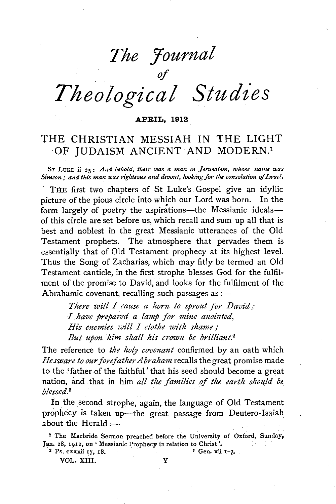# *The Journal*

# $\mathcal{L}$  .  $\mathcal{L}$  ,  $\mathcal{L}$  ,  $\mathcal{L}$ *Theological Studies*

#### **APRIL, 1912**

# THE CHRISTIAN MESSIAH IN THE LIGHT OF JUDAISM ANCIENT AND MODERN.<sup>1</sup>

ST LuKE ii 25: *And behold, there was a man in Jerusalem, whose name was Simeon; and this man was righteous and devout, looking for the consolation of Israel.* 

THE first two chapters of St Luke's Gospel give an idyllic picture of the pious circle into which our Lord was born. In the form largely of poetry the aspirations—the Messianic ideals of this circle are set before us, which recall and sum up all that is best and noblest in the great Messianic utterances of the Old Testament prophets. The atmosphere that pervades them is essentially that of Old Testament prophecy at its highest level. Thus the Song of Zacharias, which may fitly be termed an Old Testament canticle, in the first strophe blesses God for the fulfilment of the promise to David, and looks for the fulfilment of the Abrahamic covenant, recalling such passages as  $:$ 

> *There will I cause a horn to sprout for David; I have prepared a lamp for mine anointed, His enemies will I clothe with shame* ; *But upon him shall his crown be brilliant.*<sup>2</sup>

The reference to *the holy covenant* confirmed by an oath which *He sware to our forefather A braham* recalls the great promise made to the .'father of the faithful' that his seed should become a great nation, and that in him *all the families of the earth should be, blessed.3* ·

In the second strophe, again, the language of Old Testament prophecy is taken up-the great passage from Deutero-Isaiah about the Herald  $:$ 

1 The Macbride Sermon preached before the University of Oxford, Sunday, Jan. 28, 1912, on 'Messianic Prophecy in relation to Christ'.

VOL. XIII. Y

 $2 \text{ Ps. } \text{cxxxii 17, 18,}$   $3 \text{ Gen. } \text{xii 1-3.}$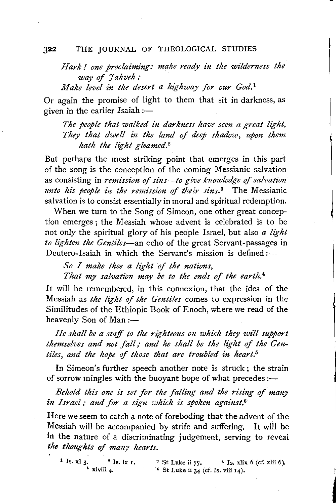*Hark* I *one proclaiming: make ready in the wilderness the*  way of *Jahveh*;

*Make level in the desert a highway for our God. <sup>1</sup>*

Or again the promise of light to them that sit in darkness, as given in the earlier Isaiah  $:$   $-$ 

*The people that walked in darkness have sem a great light, They that dwell in the land of deep shadow, upon them hath the light gleamed. <sup>2</sup>*

But perhaps the most striking point that emerges in this part of the song is the conception of the coming Messianic salvation as consisting in *remission of sins—to give knowledge of salvation unto his people in the remission of their sins.*<sup>3</sup> The Messianic salvation is to consist essentially in moral and spiritual redemption.

When we turn to the Song of Simeon, one other great conception emerges ; the Messiah whose advent is celebrated is to be not only the spiritual glory of his people Israel, but also *a light*  to lighten the Gentiles-an echo of the great Servant-passages in Deutero-Isaiah in which the Servant's mission is defined: $\qquad$ 

*So I make thee a light of the nations,*  That my salvation may be to the ends of the earth.<sup>4</sup>

It will be remembered, in this connexion, that the idea of the Messiah as *the light of the Gentiles* comes to expression in the Similitudes of the Ethiopic Book of Enoch, where we read of the heavenly Son of Man:-

*He shall be a staff to the righteous on which they wz?l support themselves and not fall; and he shall be the light of the Gentiles, and the hope* of *those that are troubled in heart.6* 

In Simeon's further speech another note is struck; the strain of sorrow mingles with the buoyant hope of what precedes  $:$ 

*Behold this one is set for the falling and the rising of many in Israel; and for a sign which is spoken against.*<sup>6</sup>

Here we seem to catch a note of foreboding that the advent of the Messiah will be accompanied by strife and suffering. It will be in the nature of a discriminating judgement, serving to reveal *the thoughts of many hearts.* 

**1** Is.  $x \cdot 1$  3. <sup>2</sup> Is. ix 1. <sup>3</sup> St Luke ii 77. <sup>4</sup> Is. xlix 6 (cf. xlii 6).<br><sup>6</sup> St Luke ii 34 (cf. Is. viii 14).  $\overline{\phantom{a}}^6$  St Luke ii 34 (cf. Is. viii 14).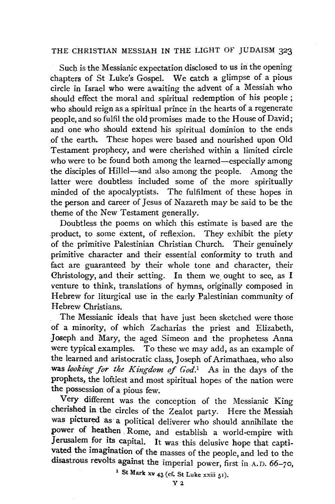Such is the Messianic expectation disclosed to us in the opening chapters of St Luke's Gospel. We catch a glimpse of a pious circle in Israel who were awaiting the advent of a Messiah who should effect the moral and spiritual redemption of his people ; who should reign as a spiritual prince in the hearts of a regenerate people, and so fulfil the old promises made to the House of David; and one who should extend his spiritual dominion to the ends of the earth. These hopes were based and nourished upon Old Testament prophecy, and were cherished within a limited circle who were to be found both among the learned-especially among the disciples of Hillel-and also among the people. Among the latter were doubtless included some of the more spiritually minded of the apocalyptists. The fulfilment of these hopes in the person and career of Jesus of Nazareth may be said to be the theme of the New Testament generally.

Doubtless the poems on which this estimate is based are the product, to some extent, of reflexion. They exhibit the piety of the primitive Palestinian Christian Church. Their genuinely primitive character and their essential conformity to truth and fact are guaranteed by their whole tone and character, their Ghristology, and their setting. In them we. ought to see, as I venture to think, translations of hymns, originally composed in Hebrew for liturgical use in the early Palestinian community of Hebrew Christians.

The Messianic ideals that have just been sketched were those of a minority, of which Zacharias the priest and Elizabeth, Joseph and Mary, the aged Simeon and the prophetess Anna were typical examples. To these we may add, as an example of the learned and aristocratic class, *]* oseph of Arimathaea, who also was *looking for the Kingdom of God.I* As in the days of the prophets, the loftiest and most spiritual hopes of the nation were the possession of a pious few.

Very different was the conception of the Messianic King cherished in the circles of the Zealot party. Here the Messiah was pictured as· a political deliverer who should annihilate the power of heathen . Rome, and establish a world-empire with Jerusalem for its capital. It was this delusive hope that captivated the imagination of the masses of the people, and led to the disastrous revolts against the imperial power, first in A.D. 66-70,

<sup>1</sup> St Mark xv  $43$  (cf. St Luke xxiii  $51$ ).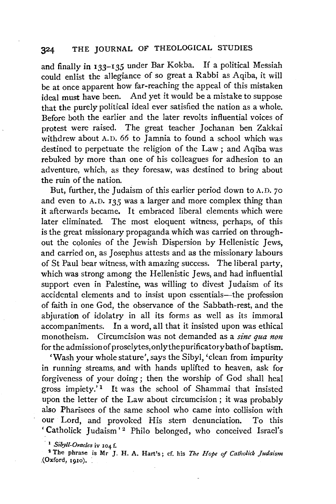and finally in 133-135 under Bar Kokba. If a political Messiah could enlist the allegiance of so great a Rabbi as Aqiba, it will be at once apparent how far-reaching the appeal of this mistaken ideal must have been. And yet it would be a mistake to suppose that the purely political ideal ever satisfied the nation as a whole. Before both the earlier and the later revolts influential voices of protest were raised. The great teacher Jochanan ben Zakkai withdrew about A.D. 66 to Jamnia to found a school which was destined to perpetuate the religion of the Law ; and Aqiba was rebuked by more than one of his colleagues for adhesion to an adventure, which, as they foresaw, was destined to bring about the ruin of the nation.

But, further, the Judaism of this earlier period down to A.D. 70 and even to A.D. *135* was a larger and more complex thing than it afterwards became. It embraced liberal elements which were later eliminated. The most eloquent witness, perhaps, of this is the great missionary propaganda which was carried on throughout the colonies of the Jewish Dispersion by Hellenistic Jews, and carried on, as Josephus attests and as the missionary labours of St Paul bear witness, with amazing success. The liberal party, which was strong among the Hellenistic Jews, and had influential support even in Palestine, was willing to divest Judaism of its accidental elements and to insist upon essentials-the profession of faith in one God, the observance of the Sabbath-rest, and the abjuration of idolatry in all its forms as well as its immoral accompaniments. In a word, all that it insisted upon was ethical monotheism. Circumcision was not demanded as a *sine qua non* for the admission of proselytes, only the purificatory bath of baptism.

'Wash your whole stature', says the Sibyl, 'clean from impurity in running streams, and with hands uplifted to heaven, ask for forgiveness of your doing ; then the worship of God shall heal gross impiety.<sup>'1</sup> It was the school of Shammai that insisted upon the letter of the Law about circumcision; it was probably also Pharisees of the same school who came into collision with our Lord, and provoked His stern denunciation. To this 'Catholick Judaism'<sup>2</sup> Philo belonged, who conceived Israel's

, 1 *Siby/1-0racles* iv 104 f.

2 The phrase is Mr J, H. A. Hart's; cf. his *The Hope of Catholick Judaism*  ,(Oxford, 1910). :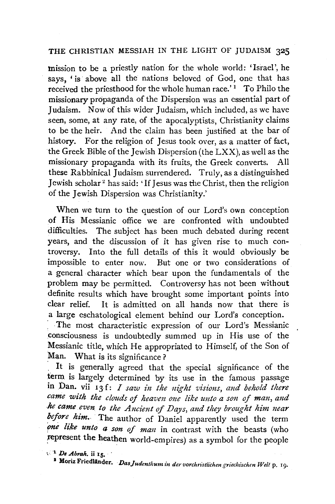mission to be a priestly nation for the whole world: 'Israel', he says, ' is above all the nations beloved of God, one that has received the priesthood for the whole human race.'<sup>1</sup> To Philo the missionary propaganda of the Dispersion was an essential part of Judaism. Now of this wider Judaism, which included, as we have seen, some, at any rate, of the apocalyptists, Christianity claims to be the heir. And the claim has been justified at the bar of history. For the religion of Jesus took over, as a matter of fact, the Greek Bible of the Jewish Dispersion (the LXX), as well as the missionary propaganda with its fruits, the Greek converts. All these Rabbinical Judaism surrendered. Truly, as a distinguished Jewish scholar 2 has said: 'If Jesus was the Christ, then the religion of the Jewish Dispersion was Christianity.'

When we turn to the question of our Lord's own conception of His Messianic office we are confronted with undoubted difficulties. The subject has been much debated during recent years, and the discussion of it has given rise to much controversy. Into the full details of this it would obviously be impossible to enter now. But one or two considerations of a general character which bear upon the fundamentals of the problem may be permitted. Controversy has not been without definite results which have brought some important points into clear relief. It is admitted on all hands now that there is a large eschatological element behind our Lord's conception.

The most characteristic expression of our Lord's Messianic consciousness is undoubtedly summed up in His use of the Messianic title, which He appropriated to Himself, of the Son of Man. What is its significance?

It is generally agreed that the special significance of the term is largely determined by its use in the famous passage in Dan. vii 13f: *I saw in the night visions, and behold there came with the clouds of heaven one like unto a son of man, and he came even to the Ancient of Days, and they brought him near*  before him. The author of Daniel apparently used the term *one like unto a son of man* in contrast with the beasts (who represent the heathen world-empires) as a symbol for the people

·, 1 *De Abrali.* ii 15. · 1

<sup>2</sup> Moriz Friedländer. *Das Judenthum in der vorchristlichen griechischen Welt* p. 19.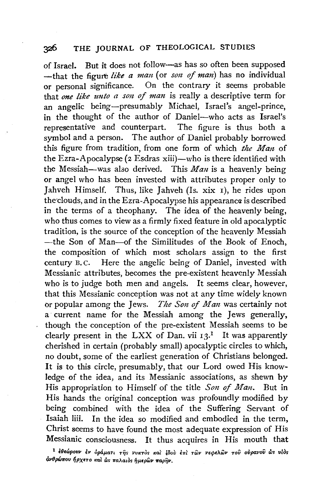of Israel. But it does not follow-as has so often been supposed -that the figure like a man (or *son of man*) has no individual or personal significance. On the contrary it seems probable that *one like unto a son of man* is really a descriptive term for an angelic being-presumably Michael, Israel's angel-prince, in the thought of the author of Daniel-who acts as Israel's representative and counterpart. The figure is thus both a symbol and a person. The author of Daniel probably borrowed this figure from tradition, from one form of which *the Man* of the Ezra-Apocalypse ( $2$  Esdras xiii)—who is there identified with the Messiah-was also derived. This *Man* is a heavenly being or angel who has been invested with attributes proper only to Jahveh Himself. Thus, like Jahveh (Is. xix 1), he rides upon the clouds, and in the Ezra-Apocalypse his appearance is described in the terms of a theophany. The idea of the heavenly being, who thus comes to view as a firmly fixed feature in old apocalyptic tradition, is the source of the conception of the heavenly Messiah -the Son of Man-of the Similitudes of the Book of Enoch, the composition of which most scholars assign to the first century B. c. Here the angelic being of Daniel, invested with Messianic attributes, becomes the pre-existent heavenly Messiah who is to judge both men and angels. It seems clear, however, that this Messianic conception was not at any time widely known or popular among the Jews. *The Son of Man* was certainly not a· current name for the Messiah among the Jews generally, though the conception of the pre-existent Messiah seems to be clearly present in the LXX of Dan. vii  $13<sup>1</sup>$  It was apparently cherished in certain (probably small) apocalyptic circles to which, no doubt, some of the earliest generation of Christians belonged. It is to this circle, presumably, that our Lord owed His knowledge of the idea, and its Messianic associations, as shewn by His appropriation to Himself of the title *Son of Man.* But in His hands the original conception was profoundly modified by being combined with the idea of the Suffering Servant of Isaiah liii. In the idea so modified and embodied in the term, Christ seems to have found the most adequate expression of His Messianic consciousness. It thus acquires in His mouth that

<sup>1</sup>**EBEWpovv Ev Op&.paT' Tfjs vvKTOs** ~tat *40oV* **E1rl TWv vEcpeAWv ToV** *oVpavoV Ws vlOs*   $d$ νθρώπου ήρχετο και ως παλαιος ήμερων παρ<del>ή</del>ν.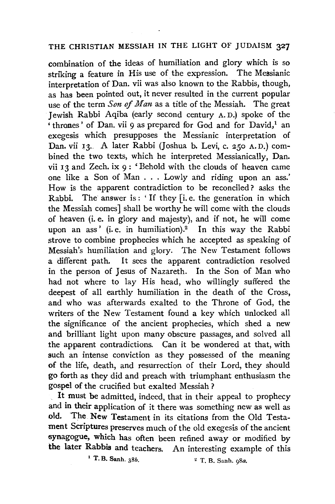combination of the ideas of humiliation and glory which is so striking a feature in His use of the expression. The Messianic interpretation of Dan. vii was also known to the Rabbis, though, as has been pointed out, it never resulted in the current popular use of the term *Son of Man* as a title of the Messiah. The great Jewish Rabbi Aqiba (early second century A. D.) spoke of the  $\cdot$  thrones' of Dan. vii 9 as prepared for God and for David,<sup>1</sup> an exegesis which presupposes the Messianic interpretation of Dan. vii 13. A later Rabbi (Joshua b. Levi, c. *250* A. D.) combined the two texts, which he interpreted Messianically, Dan. vii 13 and Zech. ix 9 : 'Behold with the clouds of heaven came one like a Son of Man ... Lowly and riding upon an ass.' How is the apparent contradiction to be reconciled? asks the Rabbi. The answer is: 'If they [i.e. the generation in which the Messiah comes] shall be worthy he will come with the clouds of heaven (i.e. in glory and majesty), and if not, he will come upon an ass' (i.e. in humiliation).<sup>2</sup> In this way the Rabbi strove to combine prophecies which he accepted as speaking of Messiah's humiliation and glory. The New Testament follows a different path. It sees the apparent contradiction resolved in the person of Jesus of Nazareth. In the Son of Man who had not where to lay His head, who willingly suffered the deepest of all earthly humiliation in the death of the Cross, and who was afterwards exalted to the Throne of God, the writers of the New Testament found a key which unlocked all the significance of the ancient prophecies, which shed a new and brilliant light upon many obscure passages, and solved all the apparent contradictions. Can it be wondered at that, with such an intense conviction as they possessed of the meaning of the life, death, and resurrection of their Lord, they should go forth as they did and preach with triumphant enthusiasm the gospel of the crucified but exalted Messiah ?

It must be admitted, indeed, that in their appeal to prophecy and in their application of it there was something new as well as old. 'The New Testament in its citations from the Old Testament Scriptures preserves much of the old exegesis of the ancient synagogue, which has often been refined away or modified by the later Rabbis and teachers. An interesting example of this

<sup>1</sup>T. B. Sanh. 386. " T. B. Sanh. *gSa.*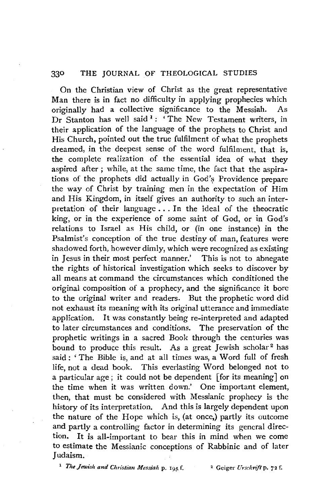On the Christian view of Christ as the great representative Man there is in fact no difficulty in applying prophecies which originally had a collective significance to the Messiah. As Dr Stanton has well said  $1$ : 'The New Testament writers, in their application of the language of the prophets to Christ and His Church, pointed out the true fulfilment of what the prophets dreamed, in the deepest sense of the word fulfilment, that is, the complete realization of the essential idea of what they aspired after ; while, at the same time, the fact that the aspirations of the prophets did actually in God's Providence prepare the way of Christ by training men in the expectation of Him and His Kingdom, in itself gives an authority to such an interpretation of their language ... In the ideal of the theocratic king, or in the experience of some saint of God, or in God's relations to Israel as His child, or (in one instance) in the Psalmist's conception of the true destiny of man, features were shadowed forth, however dimly, which were recognized as existing in Jesus in their most perfect manner.' This is not to abnegate the rights of historical investigation which seeks to discover by all means at command the circumstances which conditioned the original composition of a prophecy, and the significance it bore to the original writer and readers. But the prophetic word did not exhaust its meaning with its original utterance and immediate application. It was constantly being re-interpreted and adapted to later circumstances and conditions. The preservation of the prophetic writings in a sacred Book through the centuries was bound to produce this result. As a great Jewish scholar<sup>2</sup> has said : ' The Bible is, and at all times was, a Word full of fresh life, not a dead book. This everlasting Word belonged not to a particular age; it could not be dependent [for its meaning] on the time when it was written down.' One important element, then, that must be considered with Messianic prophecy is the history of its interpretation. And this is largely dependent upon the nature of the Hope which is, (at once,) partly its outcome and partly a controlling factor in determining its general direction. It is all-important to bear this in mind when we come to estimate the Messianic conceptions of Rabbinic and of later Judaism.

<sup>1</sup> The Jewish and Christian Messiah p. 195 f. <sup>2</sup> Geiger Urschrift p. 72 f.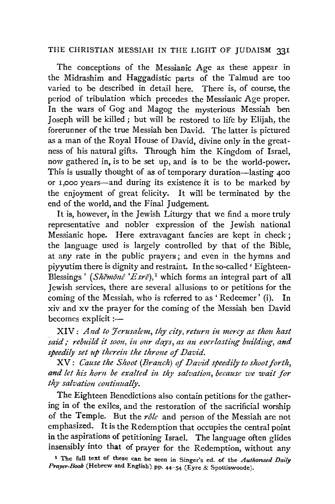The conceptions of the Messianic Age as these appear in the Midrashim and Haggadistic parts of the Talmud are too varied to be described in detail here. There is, of course, the period of tribulation which precedes the Messianic Age proper. In the wars of Gog and Magog the mysterious Messiah ben Joseph will be killed; but will be restored to life by Elijah, the forerunner of the true Messiah ben David. The latter is pictured as a man of the Royal House of David, divine only in the greatness of his natural gifts. Through him the Kingdom of Israel, now gathered in, is to be set up, and is to be the world-power. This is usually thought of as of temporary duration-lasting 400 or I ,ooo years-and during its existence it is to be marked by the enjoyment of great felicity. It will be terminated by the end of the world, and the Final Judgement.

It is, however, in the Jewish Liturgy that we find a more truly representative and nobler expression of the Jewish national Messianic hope. Here extravagant fancies are kept in check ; the language used is largely controlled by that of the Bible, at any rate in the public prayers; and even in the hymns and piyyutim there is dignity and restraint. In the so-called ' Eighteen-Blessings ' (*Shěmonê* ' $E$ *sre*),<sup>1</sup> which forms an integral part of all Jewish services, there are several allusions to or petitions for the coming of the Messiah, who is referred to as ' Redeemer' (i). In xiv and xv the prayer for the coming of the Messiah ben David becomes explicit :-

 $XIV:$  *And to Jerusalem, thy city, return in mercy as thou hast*  $said$ ; rebuild it soon, in our days, as an everlasting building, and speedily set up therein the throne of David.

XV: *Cause the Shoot (Bt'anch) of David speed£ly to shoot forth,*  and let his horn be exalted in thy salvation, because we wait for  $thy$  salvation continually.

The Eighteen Benedictions also contain petitions for the gathering in of the exiles, and the restoration of the sacrificial worship of the Temple. But the *r8le* and person of the Messiah are not emphasized. It is the Redemption that occupies the central point in the aspirations of petitioning Israel. The language often glides insensibly into that of prayer for the Redemption, without any

t The full text of these can be seen in Singer's ed. of the *Authonzed Daily Prayer-Book* (Hebrew and English) pp. 44-54 (Eyre & Spotliswoode).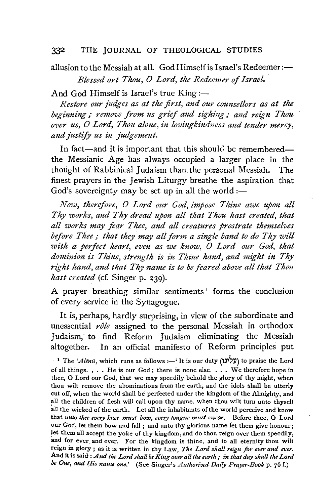allusion to the Messiah at all. God Himself is Israel's Redeemer: $\leftarrow$ *Blessed art Thou, 0 Lord, the Redeemer of Israel.* 

And God Himself is Israel's true  $King:$ 

*Restore our judges as at the first, and our counsellors as at the beginning; remove from us grief and sighing; and reign Thou over us, 0 Lord, Thou alone, in lovingkindness and tender mercy, and justify us in judgement.* 

In fact-and it is important that this should be rememberedthe Messianic Age has always occupied a larger place in the thought of Rabbinical Judaism than the personal Messiah. The finest prayers in the Jewish Liturgy breathe the aspiration that God's sovereignty may be set up in all the world:—

*Now, therefore, O Lord our God, impose Thine awe upon all Thy works, and Thy dread upon all that Thou hast created, that all works may fear Thee, and all creatures prostrate themselves before Thee* ; *that they may all form a single band to do Thy will*  with a perfect heart, even as we know, O Lord our God, that dominion is Thine, strength is in Thine hand, and might in Thy right hand, and that Thy name is to be feared above all that Thou *hast created* (cf. Singer p. 239).

A prayer breathing similar sentiments<sup>1</sup> forms the conclusion of every service in the Synagogue.

It is, perhaps, hardly surprising, in view of the subordinate and unessential *role* assigned to the personal Messiah in orthodox Judaism, to find Reform Judaism eliminating the Messiah altogether. In an official manifesto of Reform principles put

<sup>1</sup> The *'Alenu*, which runs as follows: - 'It is our duty ('עלינו') to praise the Lord of all things.  $\ldots$  He is our God; there is none else.  $\ldots$ . We therefore hope in thee, 0 Lord our God, that we may speedily behold the glory of thy might, when thou wilt remove the abominations from the earth; and the idols shall be utterly · cut off, when the world shall be perfected under the kingdom of the Almighty, and all the children of flesh will call upon thy name, when thou wilt turn unto thyself all the wicked of the earth. Let all the inhabitants of the world perceive and know that *unto thee every knee must bow, every tongue must swear.* Before thee, 0 Lord our God, let them bow and fall ; and unto thy glorious name let them give honour; let them all accept the yoke of thy kingdom, and do thou reign over them speedily, and for ever and ever. For the kingdom is thine, and to all eternity thou wilt reign in glory ; as it is written in thy Law, *The Lord shall reign for ever and ever.*  And it is said *:And the Lord shall be King over all the earth; in that day shall the Lord be One, and His name one.'* (See Singer's *Authorized Datly Prayer-Book* p. 76 f.)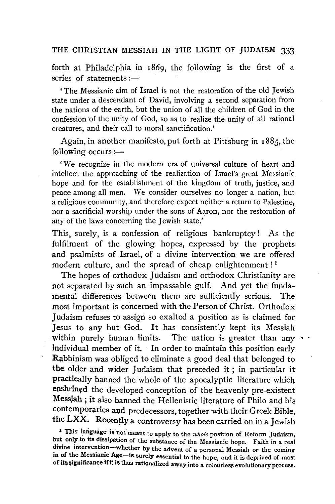forth at Philadelphia in 1869, the following is the first of a series of statements  $:=$ 

' The Messianic aim of Israel is not the restoration of the old Jewish state under a descendant of David, involving a second separation from the nations of the earth, but the union of all the children of God in the confession of the unity of God, so as to realize the unity of all rational creatures, and their call to moral sanctification.'

Again, in another manifesto, put forth at Pittsburg in 1885, the following occurs :-

, We recognize in the modern era of universal culture of heart and intellect the approaching of the realization of Israel's great Messianic hope and for the establishment of the kingdom of truth, justice, and peace among all men. We consider ourselves no longer a nation, but a religious community, and therefore expect neither a return to Palestine, nor a sacrificial worship under the sons of Aaron, nor the restoration of any of the Jaws concerning the Jewish state.'

This, surely, is a confession of religious bankruptcy ! As the fulfilment of the glowing hopes, expressed by the prophets and psalmists of Israel, of a divine intervention we are offered modern culture, and the spread of cheap enlightenment!<sup>1</sup>

The hopes of orthodox Judaism and orthodox Christianity are not separated by such an impassable gulf. And yet the fundamental differences between them are sufficiently serious. The most important is concerned with the Person of Christ. Orthodox Judaism refuses to assign so exalted a position as is claimed for Jesus to any but God. It has consistently kept its Messiah within purely human limits. The nation is greater than any  $\cdots$ individual member of it. In order to maintain this position early Rabbinism was obliged to eliminate a good deal that belonged to the older and wider Judaism that preceded it; in particular it practically banned the whole of the apocalyptic literature which enshrined the developed conception of the heavenly pre-existent Messiah ; it also banned the Hellenistic literature of Philo and his contemporaries and predecessors, together with their Greek Bible, the LXX. Recently a controversy has been carried on in a Jewish

<sup>&</sup>lt;sup>1</sup> This language is not meant to apply to the *whole* position of Reform Judaism, but only to its dissipation of the substance of the Messianic hope. Faith in a real divine intervention-whether by the advent of a personal Messiah or the coming in of the Messianic Age-is surely essential to the hope, and it is deprived of most of its significance if it is thus rationalized away into a colourless evolutionary process.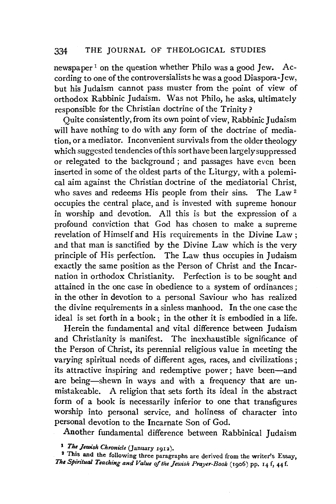newspaper<sup>1</sup> on the question whether Philo was a good Jew. According to one of the controversialists he was a good Diaspora-Jew, but his Judaism cannot pass muster from the point of view of orthodox Rabbinic Judaism. Was not Philo, he asks, ultimately responsible for the Christian doctrine of the Trinity?

 $\overline{Q}$  Ouite consistently, from its own point of view, Rabbinic Judaism will have nothing to do with any form of the doctrine of mediation, or a mediator. Inconvenient survivals from the older theology which suggested tendencies of this sort have been largely suppressed or relegated to the background ; and passages have even been inserted in some of the oldest parts of the Liturgy, with a polemical aim against the Christian doctrine of the mediatorial Christ, who saves and redeems His people from their sins. The Law<sup>2</sup> occupies the central place, and is invested with supreme honour in worship and devotion. All this is but the expression of a profound conviction that God has chosen to make a supreme revelation of Himself and His requirements in the Divine Law ; and that man is sanctified by the Divine Law which is the very principle of His perfection. The Law thus occupies in Judaism exactly the same position as the Person of Christ and the Incarnation in orthodox Christianity. Perfection is to be sought and attained in the one case in obedience to a system of ordinances ; in the other in devotion to a personal Saviour who has realized the divine requirements in a sinless manhood. In the one case the ideal is set forth in a book ; in the other it is embodied in a life.

Herein the fundamental and vital difference between Judaism and Christianity is manifest. The inexhaustible significance of the Person of Christ, its perennial religious value in meeting the varying spiritual needs of different ages, races, and civilizations ; its attractive inspiring and redemptive power; have been-and are being-shewn in ways and with a frequency that are unmistakeable. A religion that sets forth its ideal in the abstract form of a book is necessarily inferior to one that transfigures worship into personal service, and holiness of character into personal devotion to the Incarnate Son of God.

Another fundamental difference between Rabbinical Judaism

1 *The Jewish Chronicle* (January 1912).

<sup>2</sup> This and the following three paragraphs are derived from the writer's Essay, The Spiritual Teaching and Value of the Jewish Prayer-Book (1906) pp. 14 f, 44 f.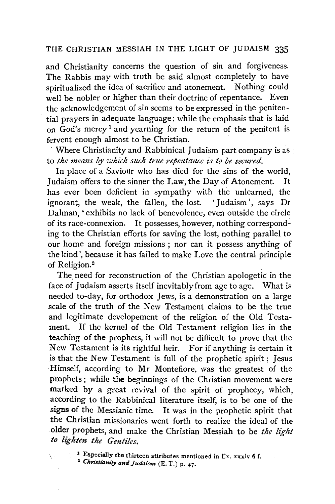and Christianity concerns the question of sin and forgiveness. The Rabbis may with truth be said almost completely to have spiritualized the idea of sacrifice and atonement. Nothing could well be nobler or higher than their doctrine of repentance. Even the acknowledgement of sin seems to be expressed in the penitential prayers in adequate language; while the emphasis that is laid on God's mercy<sup>1</sup> and yearning for the return of the penitent is fervent enough almost to be Christian.

Where Christianity and Rabbinical Judaism part company is as to *the means by which such true repentance is to be secured.* 

In place of a Saviour who has died for the sins of the world, Judaism offers to the sinner the Law, the Day of Atonement. It has ever been deficient in sympathy with the unlearned, the ignorant, the weak, the fallen, the lost. 'Judaism', says Dr Dalman, 'exhibits no lack of benevolence, even outside the circle of its race-connexion. It possesses, however, nothing corresponding to the Christian efforts for saving the lost, nothing parallel to our home and foreign missions ; nor can it possess anything of the kind', because it has failed to make Love the central principle of Religion.<sup>2</sup>

The need for reconstruction of the Christian apologetic in the face of Judaism asserts itself inevitably from age to age. What is needed to-day, for orthodox Jews, is a demonstration on a large scale of the truth of the New Testament claims to be the true and legitimate developement of the religion of the Old Testament. If the kernel of the Old Testament religion lies in the teaching of the prophets, it will not be difficult to prove that the New Testament is its rightful heir. For if anything is certain it is that the New Testament is full of the prophetic spirit; Jesus Himself, according to Mr Montefiore, was the greatest of the prophets ; while the beginnings of the Christian movement were marked by a great revival of the spirit of prophecy, which, according to the Rabbinical literature itself, is to be one of the signs of the Messianic time. It was in the prophetic spirit that the Christian missionaries went forth to realize the ideal of the .older prophets, and make the Christian Messiah to be *the light to lighten the Gentiles.* 

1 Especially the thirteen attributes mentioned in Ex. xxxiv 6 f. • *Christianity andJudaism* (E. T.) p. 47.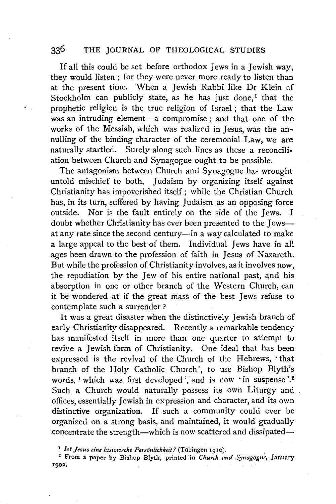If all this could be set before orthodox Jews in a Jewish way, they would listen ; for they were never more ready to listen than at the present time. When a Jewish Rabbi like Dr Klein of Stockholm can publicly state, as he has just done,<sup>1</sup> that the prophetic religion is the true religion of Israel; that the Law was an intruding element-a compromise ; and that one of the works of the Messiah, which was realized in Jesus, was the annulling of the binding character of the ceremonial Law, we are naturally startled. Surely along such lines as these a reconciliation between Church and Synagogue ought to be possible.

The antagonism between Church and Synagogue has wrought untold mischief to both. Judaism by organizing itself against Christianity has impoverished itself; while the Christian Church has, in its turn, suffered by having Judaism as an opposing force outside. Nor is the fault entirely on the side of the Jews. I doubt whether Christianity has ever been presented to the Jewsat any rate since the second century-in a way calculated to make a large appeal to the best of them. Individual Jews have in all ages been drawn to the profession of faith in Jesus of Nazareth. But while the profession of Christianity involves, as it involves now, the repudiation by the Jew of his entire national past, and his absorption in one or other branch of the Western Church, can it be wondered at if the great mass of the best Jews refuse to contemplate such a surrender?

It was a great disaster when the distinctively Jewish branch of early Christianity disappeared. Recently a remarkable tendency has manifested itself in more than one quarter to attempt to revive a Jewish form of Christianity. One ideal that has been expressed is the revival of the Church of the Hebrews, • that branch of the Holy Catholic Church', to use Bishop Blyth's words, ' which was first developed ', and is now ' in suspense'.<sup>2</sup> Such a Church would naturally possess its own Liturgy and offices, essentially Jewish in expression and character, and its own distinctive organization. If such a community could ever be organized on a strong basis, and maintained, it would gradually concentrate the strength-which is now scattered and dissipated-

<sup>1</sup> Ist Jesus eine historische Persönlichkeit? (Tübingen 1910).

2 From a paper by Bishop Blyth, printed in *Church ana Synagogue,* January 1902.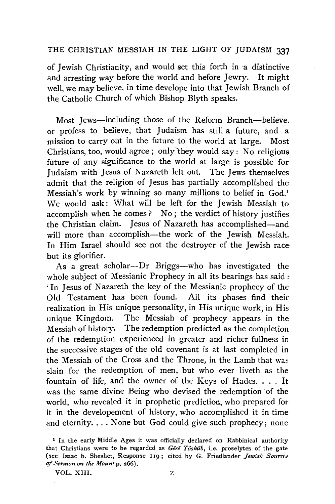of Jewish Christianity, and would set this forth in a distinctive<br>and arresting way before the world and before Jewry. It might and arresting way before the world and before Jewry. well, we may believe, in time develope into that Jewish Branch of the Catholic Church of which Bishop Blyth speaks.

Most Jews-including those of the Reform Branch-believe. or profess to believe, that Judaism has still a future, and a mission to carry out in the future to the world at large. Most Christians, too, would agree; only they would say: No religious future of any significance to the world at large is possible for Judaism with Jesus of Nazareth left out. The Jews themselves admit that the religion of Jesus has partially accomplished the Messiah's work by winning so many millions to belief in God.<sup>1</sup> We would ask: What will be left for the Jewish Messiah to accomplish when he comes ? No : the verdict of history justifies the Christian claim. Jesus of Nazareth has accomplished-and will more than accomplish—the work of the Jewish Messiah. In Him Israel should see not the destroyer of the Jewish race but its glorifier.

As a great scholar-Dr Briggs-who has investigated the whole subject of Messianic Prophecy in all its bearings has said: ' In Jesus of Nazareth the key of the Messianic prophecy of the Old Testament has been found. All its phases find their realization in His unique personality, in His unique work, in His unique Kingdom. The Messiah of prophecy appears in the Messiah of history. The redemption predicted as the completion of the redemption experienced in greater and richer fullness in the successive stages of the old covenant is at last completed in the Messiah of the Cross and the Throne, in the Lamb that was slain for the redemption of men, but who ever liveth as the fountain of life, and the owner of the Keys of Hades. . . . It was the same divine Being who devised the redemption of the world, who revealed it in prophetic prediction, who prepared for it in the developement of history, who accomplished it in time and eternity.... None but God could give such prophecy; none

VOL. XIII. Z

<sup>1</sup> In the early Middle Ages it was officially declared on Rabbinical authority that Christians were to be regarded as *Gere Toshab*, i.e. proselytes of the gate (see Isaac b. Sheshet, Response II9; cited by G. Friedlander *Jewish Sources*  of *Sermon on the Mount* p. 266).